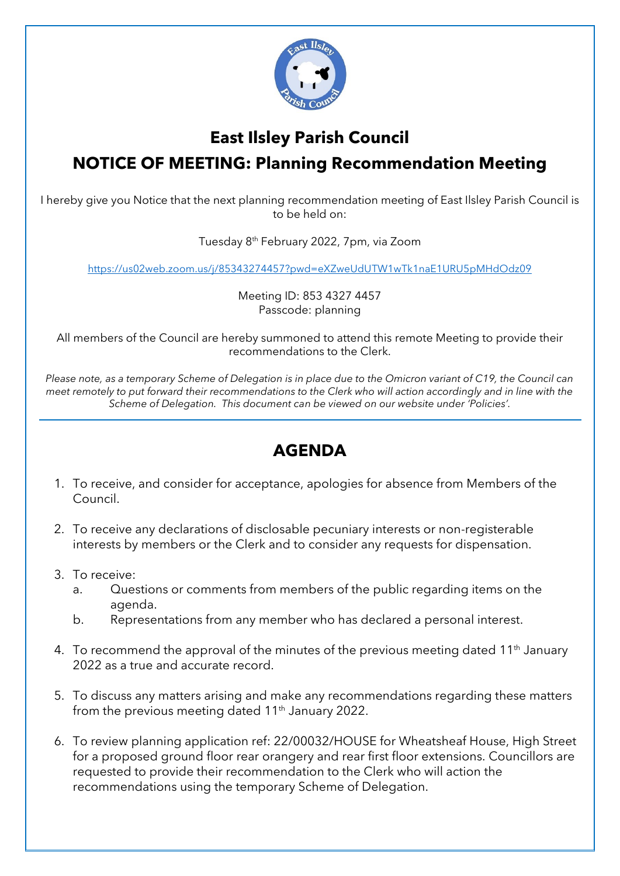

## **East Ilsley Parish Council NOTICE OF MEETING: Planning Recommendation Meeting**

I hereby give you Notice that the next planning recommendation meeting of East Ilsley Parish Council is to be held on:

Tuesday 8th February 2022, 7pm, via Zoom

<https://us02web.zoom.us/j/85343274457?pwd=eXZweUdUTW1wTk1naE1URU5pMHdOdz09>

Meeting ID: 853 4327 4457 Passcode: planning

All members of the Council are hereby summoned to attend this remote Meeting to provide their recommendations to the Clerk.

*Please note, as a temporary Scheme of Delegation is in place due to the Omicron variant of C19, the Council can meet remotely to put forward their recommendations to the Clerk who will action accordingly and in line with the Scheme of Delegation. This document can be viewed on our website under 'Policies'.*

## **AGENDA**

- 1. To receive, and consider for acceptance, apologies for absence from Members of the Council.
- 2. To receive any declarations of disclosable pecuniary interests or non-registerable interests by members or the Clerk and to consider any requests for dispensation.
- 3. To receive:
	- a. Questions or comments from members of the public regarding items on the agenda.
	- b. Representations from any member who has declared a personal interest.
- 4. To recommend the approval of the minutes of the previous meeting dated 11<sup>th</sup> January 2022 as a true and accurate record.
- 5. To discuss any matters arising and make any recommendations regarding these matters from the previous meeting dated 11<sup>th</sup> January 2022.
- 6. To review planning application ref: 22/00032/HOUSE for Wheatsheaf House, High Street for a proposed ground floor rear orangery and rear first floor extensions. Councillors are requested to provide their recommendation to the Clerk who will action the recommendations using the temporary Scheme of Delegation.